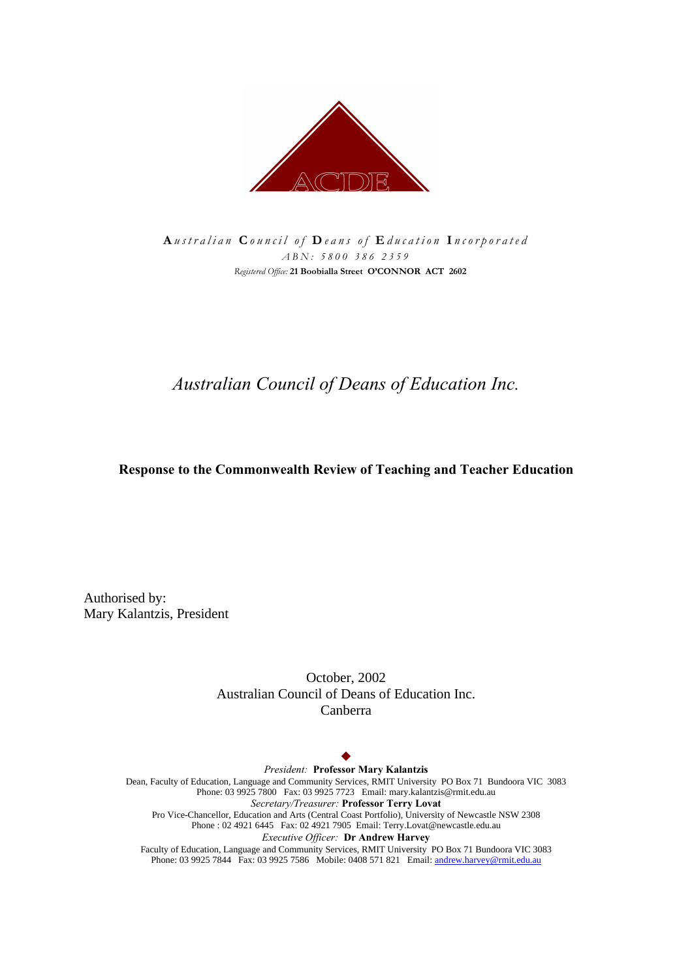

*A ustralian C ouncil of D eans of E ducation I ncorporated ABN: 5800 386 2359 Registered Office: 21 Boobialla Street O'CONNOR ACT 2602*

# *Australian Council of Deans of Education Inc.*

### **Response to the Commonwealth Review of Teaching and Teacher Education**

Authorised by: Mary Kalantzis, President

> October, 2002 Australian Council of Deans of Education Inc. Canberra

#### $\blacklozenge$

*President:* **Professor Mary Kalantzis** Dean, Faculty of Education, Language and Community Services, RMIT University PO Box 71 Bundoora VIC 3083 Phone: 03 9925 7800 Fax: 03 9925 7723 Email: mary.kalantzis@rmit.edu.au *Secretary/Treasurer:* **Professor Terry Lovat** Pro Vice-Chancellor, Education and Arts (Central Coast Portfolio), University of Newcastle NSW 2308 Phone : 02 4921 6445 Fax: 02 4921 7905 Email: Terry.Lovat@newcastle.edu.au *Executive Officer:* **Dr Andrew Harvey** Faculty of Education, Language and Community Services, RMIT University PO Box 71 Bundoora VIC 3083 Phone: 03 9925 7844 Fax: 03 9925 7586 Mobile: 0408 571 821 Email: andrew.harvey@rmit.edu.au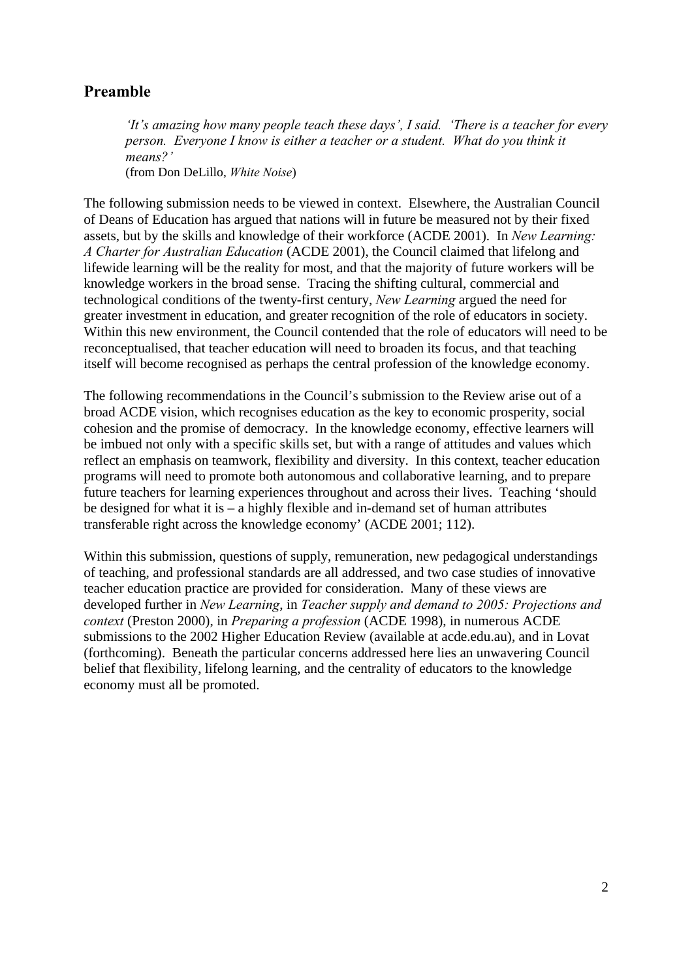## **Preamble**

*'It's amazing how many people teach these days', I said. 'There is a teacher for every person. Everyone I know is either a teacher or a student. What do you think it means?'* (from Don DeLillo, *White Noise*)

The following submission needs to be viewed in context. Elsewhere, the Australian Council of Deans of Education has argued that nations will in future be measured not by their fixed assets, but by the skills and knowledge of their workforce (ACDE 2001). In *New Learning: A Charter for Australian Education* (ACDE 2001), the Council claimed that lifelong and lifewide learning will be the reality for most, and that the majority of future workers will be knowledge workers in the broad sense. Tracing the shifting cultural, commercial and technological conditions of the twenty-first century, *New Learning* argued the need for greater investment in education, and greater recognition of the role of educators in society. Within this new environment, the Council contended that the role of educators will need to be reconceptualised, that teacher education will need to broaden its focus, and that teaching itself will become recognised as perhaps the central profession of the knowledge economy.

The following recommendations in the Council's submission to the Review arise out of a broad ACDE vision, which recognises education as the key to economic prosperity, social cohesion and the promise of democracy. In the knowledge economy, effective learners will be imbued not only with a specific skills set, but with a range of attitudes and values which reflect an emphasis on teamwork, flexibility and diversity. In this context, teacher education programs will need to promote both autonomous and collaborative learning, and to prepare future teachers for learning experiences throughout and across their lives. Teaching 'should be designed for what it is – a highly flexible and in-demand set of human attributes transferable right across the knowledge economy' (ACDE 2001; 112).

Within this submission, questions of supply, remuneration, new pedagogical understandings of teaching, and professional standards are all addressed, and two case studies of innovative teacher education practice are provided for consideration. Many of these views are developed further in *New Learning*, in *Teacher supply and demand to 2005: Projections and context* (Preston 2000), in *Preparing a profession* (ACDE 1998), in numerous ACDE submissions to the 2002 Higher Education Review (available at acde.edu.au), and in Lovat (forthcoming). Beneath the particular concerns addressed here lies an unwavering Council belief that flexibility, lifelong learning, and the centrality of educators to the knowledge economy must all be promoted.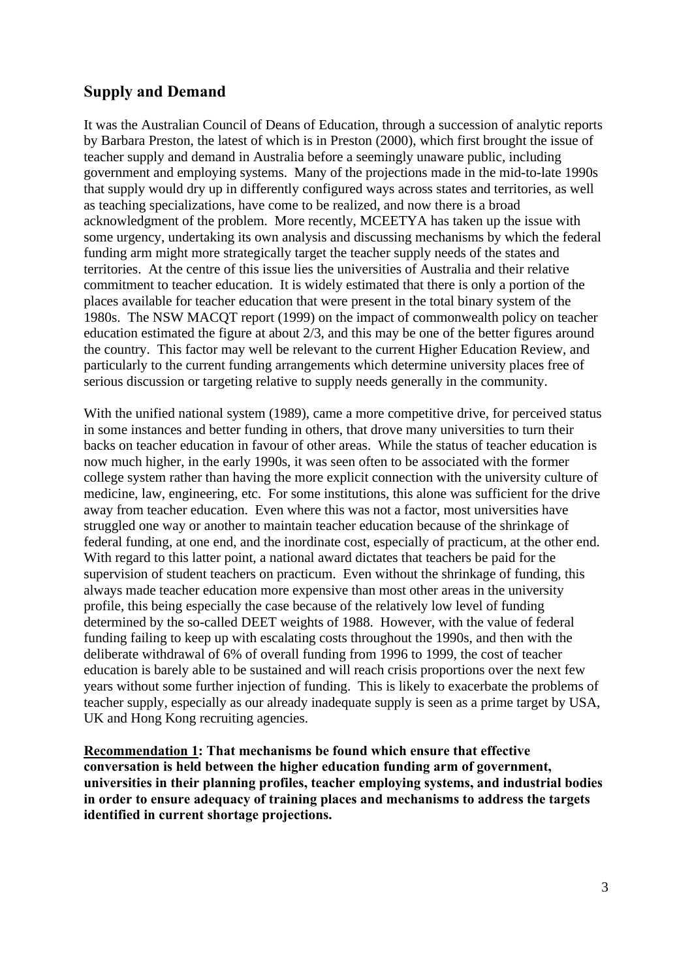## **Supply and Demand**

It was the Australian Council of Deans of Education, through a succession of analytic reports by Barbara Preston, the latest of which is in Preston (2000), which first brought the issue of teacher supply and demand in Australia before a seemingly unaware public, including government and employing systems. Many of the projections made in the mid-to-late 1990s that supply would dry up in differently configured ways across states and territories, as well as teaching specializations, have come to be realized, and now there is a broad acknowledgment of the problem. More recently, MCEETYA has taken up the issue with some urgency, undertaking its own analysis and discussing mechanisms by which the federal funding arm might more strategically target the teacher supply needs of the states and territories. At the centre of this issue lies the universities of Australia and their relative commitment to teacher education. It is widely estimated that there is only a portion of the places available for teacher education that were present in the total binary system of the 1980s. The NSW MACQT report (1999) on the impact of commonwealth policy on teacher education estimated the figure at about 2/3, and this may be one of the better figures around the country. This factor may well be relevant to the current Higher Education Review, and particularly to the current funding arrangements which determine university places free of serious discussion or targeting relative to supply needs generally in the community.

With the unified national system (1989), came a more competitive drive, for perceived status in some instances and better funding in others, that drove many universities to turn their backs on teacher education in favour of other areas. While the status of teacher education is now much higher, in the early 1990s, it was seen often to be associated with the former college system rather than having the more explicit connection with the university culture of medicine, law, engineering, etc. For some institutions, this alone was sufficient for the drive away from teacher education. Even where this was not a factor, most universities have struggled one way or another to maintain teacher education because of the shrinkage of federal funding, at one end, and the inordinate cost, especially of practicum, at the other end. With regard to this latter point, a national award dictates that teachers be paid for the supervision of student teachers on practicum. Even without the shrinkage of funding, this always made teacher education more expensive than most other areas in the university profile, this being especially the case because of the relatively low level of funding determined by the so-called DEET weights of 1988. However, with the value of federal funding failing to keep up with escalating costs throughout the 1990s, and then with the deliberate withdrawal of 6% of overall funding from 1996 to 1999, the cost of teacher education is barely able to be sustained and will reach crisis proportions over the next few years without some further injection of funding. This is likely to exacerbate the problems of teacher supply, especially as our already inadequate supply is seen as a prime target by USA, UK and Hong Kong recruiting agencies.

**Recommendation 1: That mechanisms be found which ensure that effective conversation is held between the higher education funding arm of government, universities in their planning profiles, teacher employing systems, and industrial bodies in order to ensure adequacy of training places and mechanisms to address the targets identified in current shortage projections.**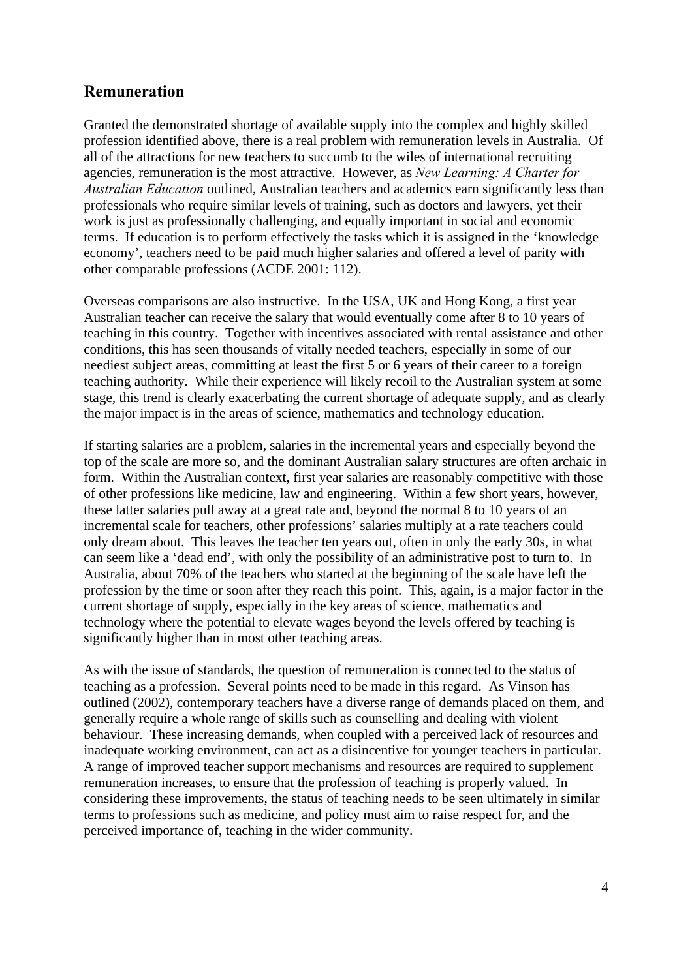## **Remuneration**

Granted the demonstrated shortage of available supply into the complex and highly skilled profession identified above, there is a real problem with remuneration levels in Australia. Of all of the attractions for new teachers to succumb to the wiles of international recruiting agencies, remuneration is the most attractive. However, as *New Learning: A Charter for Australian Education* outlined, Australian teachers and academics earn significantly less than professionals who require similar levels of training, such as doctors and lawyers, yet their work is just as professionally challenging, and equally important in social and economic terms. If education is to perform effectively the tasks which it is assigned in the 'knowledge economy', teachers need to be paid much higher salaries and offered a level of parity with other comparable professions (ACDE 2001: 112).

Overseas comparisons are also instructive. In the USA, UK and Hong Kong, a first year Australian teacher can receive the salary that would eventually come after 8 to 10 years of teaching in this country. Together with incentives associated with rental assistance and other conditions, this has seen thousands of vitally needed teachers, especially in some of our neediest subject areas, committing at least the first 5 or 6 years of their career to a foreign teaching authority. While their experience will likely recoil to the Australian system at some stage, this trend is clearly exacerbating the current shortage of adequate supply, and as clearly the major impact is in the areas of science, mathematics and technology education.

If starting salaries are a problem, salaries in the incremental years and especially beyond the top of the scale are more so, and the dominant Australian salary structures are often archaic in form. Within the Australian context, first year salaries are reasonably competitive with those of other professions like medicine, law and engineering. Within a few short years, however, these latter salaries pull away at a great rate and, beyond the normal 8 to 10 years of an incremental scale for teachers, other professions' salaries multiply at a rate teachers could only dream about. This leaves the teacher ten years out, often in only the early 30s, in what can seem like a 'dead end', with only the possibility of an administrative post to turn to. In Australia, about 70% of the teachers who started at the beginning of the scale have left the profession by the time or soon after they reach this point. This, again, is a major factor in the current shortage of supply, especially in the key areas of science, mathematics and technology where the potential to elevate wages beyond the levels offered by teaching is significantly higher than in most other teaching areas.

As with the issue of standards, the question of remuneration is connected to the status of teaching as a profession. Several points need to be made in this regard. As Vinson has outlined (2002), contemporary teachers have a diverse range of demands placed on them, and generally require a whole range of skills such as counselling and dealing with violent behaviour. These increasing demands, when coupled with a perceived lack of resources and inadequate working environment, can act as a disincentive for younger teachers in particular. A range of improved teacher support mechanisms and resources are required to supplement remuneration increases, to ensure that the profession of teaching is properly valued. In considering these improvements, the status of teaching needs to be seen ultimately in similar terms to professions such as medicine, and policy must aim to raise respect for, and the perceived importance of, teaching in the wider community.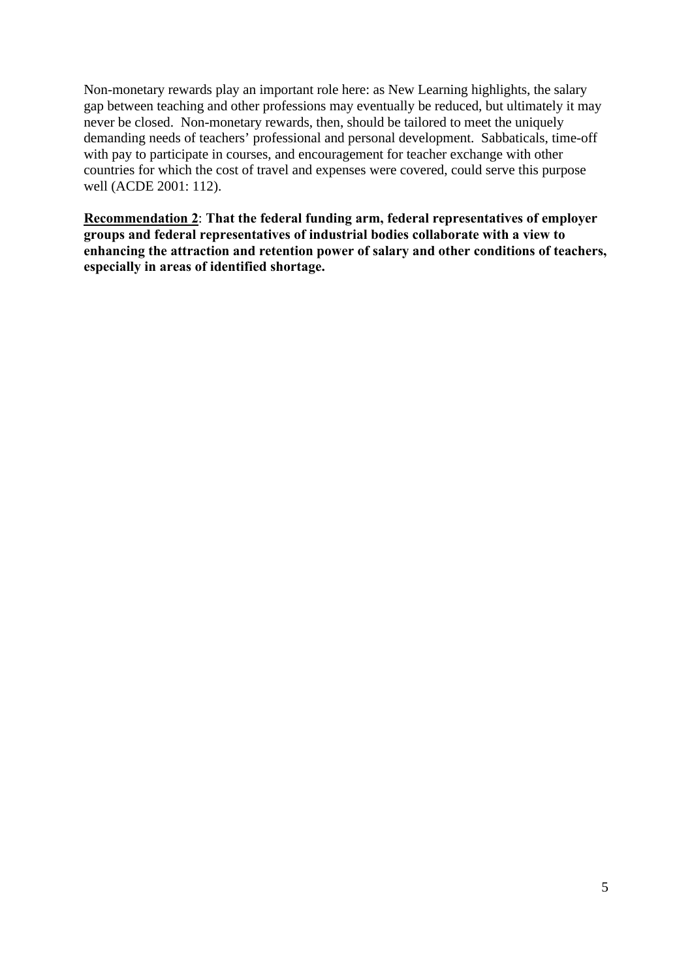Non-monetary rewards play an important role here: as New Learning highlights, the salary gap between teaching and other professions may eventually be reduced, but ultimately it may never be closed. Non-monetary rewards, then, should be tailored to meet the uniquely demanding needs of teachers' professional and personal development. Sabbaticals, time-off with pay to participate in courses, and encouragement for teacher exchange with other countries for which the cost of travel and expenses were covered, could serve this purpose well (ACDE 2001: 112).

**Recommendation 2**: **That the federal funding arm, federal representatives of employer groups and federal representatives of industrial bodies collaborate with a view to enhancing the attraction and retention power of salary and other conditions of teachers, especially in areas of identified shortage.**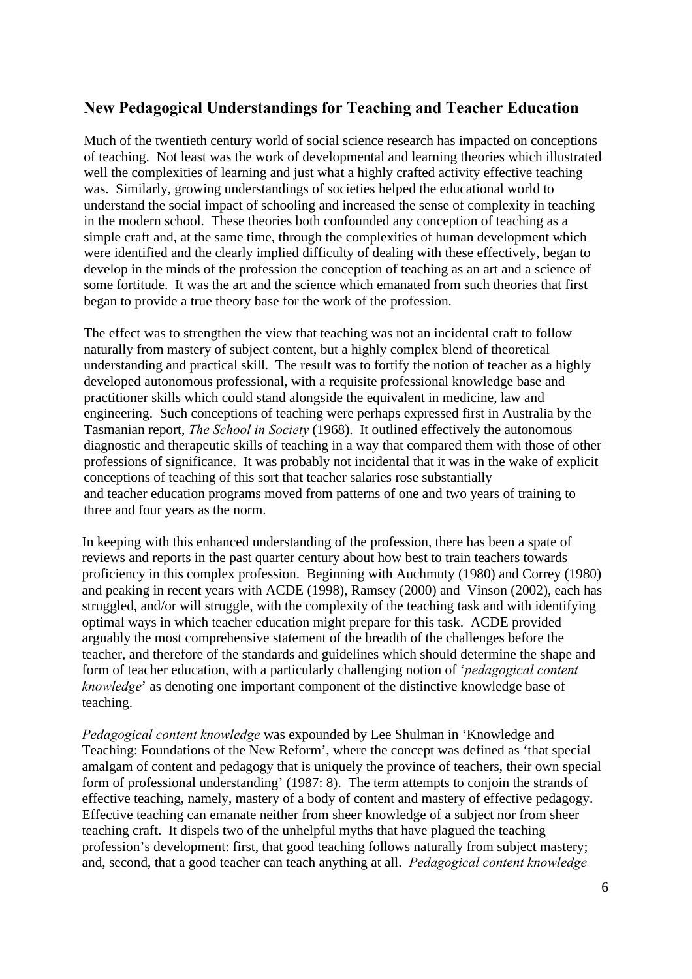## **New Pedagogical Understandings for Teaching and Teacher Education**

Much of the twentieth century world of social science research has impacted on conceptions of teaching. Not least was the work of developmental and learning theories which illustrated well the complexities of learning and just what a highly crafted activity effective teaching was. Similarly, growing understandings of societies helped the educational world to understand the social impact of schooling and increased the sense of complexity in teaching in the modern school. These theories both confounded any conception of teaching as a simple craft and, at the same time, through the complexities of human development which were identified and the clearly implied difficulty of dealing with these effectively, began to develop in the minds of the profession the conception of teaching as an art and a science of some fortitude. It was the art and the science which emanated from such theories that first began to provide a true theory base for the work of the profession.

The effect was to strengthen the view that teaching was not an incidental craft to follow naturally from mastery of subject content, but a highly complex blend of theoretical understanding and practical skill. The result was to fortify the notion of teacher as a highly developed autonomous professional, with a requisite professional knowledge base and practitioner skills which could stand alongside the equivalent in medicine, law and engineering. Such conceptions of teaching were perhaps expressed first in Australia by the Tasmanian report, *The School in Society* (1968). It outlined effectively the autonomous diagnostic and therapeutic skills of teaching in a way that compared them with those of other professions of significance. It was probably not incidental that it was in the wake of explicit conceptions of teaching of this sort that teacher salaries rose substantially and teacher education programs moved from patterns of one and two years of training to three and four years as the norm.

In keeping with this enhanced understanding of the profession, there has been a spate of reviews and reports in the past quarter century about how best to train teachers towards proficiency in this complex profession. Beginning with Auchmuty (1980) and Correy (1980) and peaking in recent years with ACDE (1998), Ramsey (2000) and Vinson (2002), each has struggled, and/or will struggle, with the complexity of the teaching task and with identifying optimal ways in which teacher education might prepare for this task. ACDE provided arguably the most comprehensive statement of the breadth of the challenges before the teacher, and therefore of the standards and guidelines which should determine the shape and form of teacher education, with a particularly challenging notion of '*pedagogical content knowledge*' as denoting one important component of the distinctive knowledge base of teaching.

*Pedagogical content knowledge* was expounded by Lee Shulman in 'Knowledge and Teaching: Foundations of the New Reform', where the concept was defined as 'that special amalgam of content and pedagogy that is uniquely the province of teachers, their own special form of professional understanding' (1987: 8). The term attempts to conjoin the strands of effective teaching, namely, mastery of a body of content and mastery of effective pedagogy. Effective teaching can emanate neither from sheer knowledge of a subject nor from sheer teaching craft. It dispels two of the unhelpful myths that have plagued the teaching profession's development: first, that good teaching follows naturally from subject mastery; and, second, that a good teacher can teach anything at all. *Pedagogical content knowledge*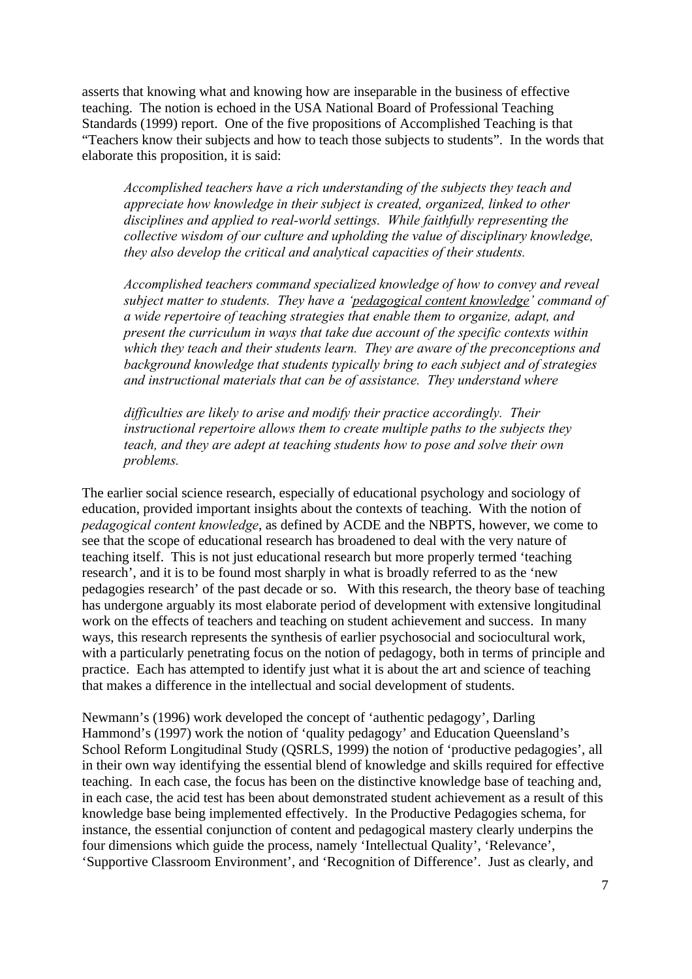asserts that knowing what and knowing how are inseparable in the business of effective teaching. The notion is echoed in the USA National Board of Professional Teaching Standards (1999) report. One of the five propositions of Accomplished Teaching is that "Teachers know their subjects and how to teach those subjects to students". In the words that elaborate this proposition, it is said:

*Accomplished teachers have a rich understanding of the subjects they teach and appreciate how knowledge in their subject is created, organized, linked to other disciplines and applied to real-world settings. While faithfully representing the collective wisdom of our culture and upholding the value of disciplinary knowledge, they also develop the critical and analytical capacities of their students.* 

*Accomplished teachers command specialized knowledge of how to convey and reveal subject matter to students. They have a 'pedagogical content knowledge' command of a wide repertoire of teaching strategies that enable them to organize, adapt, and present the curriculum in ways that take due account of the specific contexts within which they teach and their students learn. They are aware of the preconceptions and background knowledge that students typically bring to each subject and of strategies and instructional materials that can be of assistance. They understand where* 

*difficulties are likely to arise and modify their practice accordingly. Their instructional repertoire allows them to create multiple paths to the subjects they teach, and they are adept at teaching students how to pose and solve their own problems.*

The earlier social science research, especially of educational psychology and sociology of education, provided important insights about the contexts of teaching. With the notion of *pedagogical content knowledge*, as defined by ACDE and the NBPTS, however, we come to see that the scope of educational research has broadened to deal with the very nature of teaching itself. This is not just educational research but more properly termed 'teaching research', and it is to be found most sharply in what is broadly referred to as the 'new pedagogies research' of the past decade or so. With this research, the theory base of teaching has undergone arguably its most elaborate period of development with extensive longitudinal work on the effects of teachers and teaching on student achievement and success. In many ways, this research represents the synthesis of earlier psychosocial and sociocultural work, with a particularly penetrating focus on the notion of pedagogy, both in terms of principle and practice. Each has attempted to identify just what it is about the art and science of teaching that makes a difference in the intellectual and social development of students.

Newmann's (1996) work developed the concept of 'authentic pedagogy', Darling Hammond's (1997) work the notion of 'quality pedagogy' and Education Queensland's School Reform Longitudinal Study (QSRLS, 1999) the notion of 'productive pedagogies', all in their own way identifying the essential blend of knowledge and skills required for effective teaching. In each case, the focus has been on the distinctive knowledge base of teaching and, in each case, the acid test has been about demonstrated student achievement as a result of this knowledge base being implemented effectively. In the Productive Pedagogies schema, for instance, the essential conjunction of content and pedagogical mastery clearly underpins the four dimensions which guide the process, namely 'Intellectual Quality', 'Relevance', 'Supportive Classroom Environment', and 'Recognition of Difference'. Just as clearly, and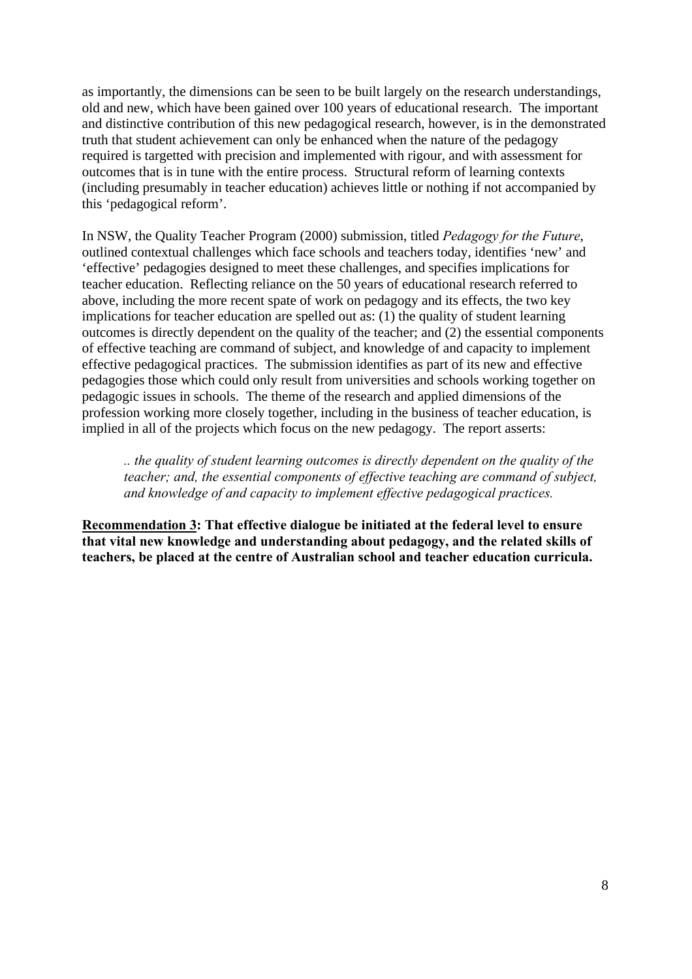as importantly, the dimensions can be seen to be built largely on the research understandings, old and new, which have been gained over 100 years of educational research. The important and distinctive contribution of this new pedagogical research, however, is in the demonstrated truth that student achievement can only be enhanced when the nature of the pedagogy required is targetted with precision and implemented with rigour, and with assessment for outcomes that is in tune with the entire process. Structural reform of learning contexts (including presumably in teacher education) achieves little or nothing if not accompanied by this 'pedagogical reform'.

In NSW, the Quality Teacher Program (2000) submission, titled *Pedagogy for the Future*, outlined contextual challenges which face schools and teachers today, identifies 'new' and 'effective' pedagogies designed to meet these challenges, and specifies implications for teacher education. Reflecting reliance on the 50 years of educational research referred to above, including the more recent spate of work on pedagogy and its effects, the two key implications for teacher education are spelled out as: (1) the quality of student learning outcomes is directly dependent on the quality of the teacher; and (2) the essential components of effective teaching are command of subject, and knowledge of and capacity to implement effective pedagogical practices. The submission identifies as part of its new and effective pedagogies those which could only result from universities and schools working together on pedagogic issues in schools. The theme of the research and applied dimensions of the profession working more closely together, including in the business of teacher education, is implied in all of the projects which focus on the new pedagogy. The report asserts:

*.. the quality of student learning outcomes is directly dependent on the quality of the teacher; and, the essential components of effective teaching are command of subject, and knowledge of and capacity to implement effective pedagogical practices.*

**Recommendation 3: That effective dialogue be initiated at the federal level to ensure that vital new knowledge and understanding about pedagogy, and the related skills of teachers, be placed at the centre of Australian school and teacher education curricula.**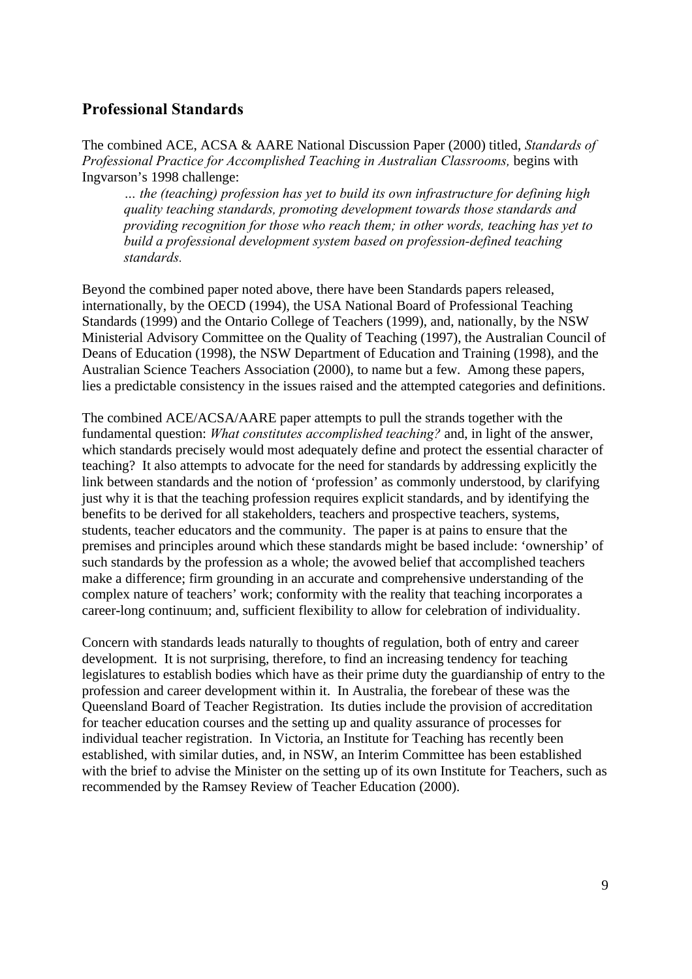## **Professional Standards**

The combined ACE, ACSA & AARE National Discussion Paper (2000) titled, *Standards of Professional Practice for Accomplished Teaching in Australian Classrooms,* begins with Ingvarson's 1998 challenge:

*… the (teaching) profession has yet to build its own infrastructure for defining high quality teaching standards, promoting development towards those standards and providing recognition for those who reach them; in other words, teaching has yet to build a professional development system based on profession-defined teaching standards.*

Beyond the combined paper noted above, there have been Standards papers released, internationally, by the OECD (1994), the USA National Board of Professional Teaching Standards (1999) and the Ontario College of Teachers (1999), and, nationally, by the NSW Ministerial Advisory Committee on the Quality of Teaching (1997), the Australian Council of Deans of Education (1998), the NSW Department of Education and Training (1998), and the Australian Science Teachers Association (2000), to name but a few. Among these papers, lies a predictable consistency in the issues raised and the attempted categories and definitions.

The combined ACE/ACSA/AARE paper attempts to pull the strands together with the fundamental question: *What constitutes accomplished teaching?* and, in light of the answer, which standards precisely would most adequately define and protect the essential character of teaching? It also attempts to advocate for the need for standards by addressing explicitly the link between standards and the notion of 'profession' as commonly understood, by clarifying just why it is that the teaching profession requires explicit standards, and by identifying the benefits to be derived for all stakeholders, teachers and prospective teachers, systems, students, teacher educators and the community. The paper is at pains to ensure that the premises and principles around which these standards might be based include: 'ownership' of such standards by the profession as a whole; the avowed belief that accomplished teachers make a difference; firm grounding in an accurate and comprehensive understanding of the complex nature of teachers' work; conformity with the reality that teaching incorporates a career-long continuum; and, sufficient flexibility to allow for celebration of individuality.

Concern with standards leads naturally to thoughts of regulation, both of entry and career development. It is not surprising, therefore, to find an increasing tendency for teaching legislatures to establish bodies which have as their prime duty the guardianship of entry to the profession and career development within it. In Australia, the forebear of these was the Queensland Board of Teacher Registration. Its duties include the provision of accreditation for teacher education courses and the setting up and quality assurance of processes for individual teacher registration. In Victoria, an Institute for Teaching has recently been established, with similar duties, and, in NSW, an Interim Committee has been established with the brief to advise the Minister on the setting up of its own Institute for Teachers, such as recommended by the Ramsey Review of Teacher Education (2000).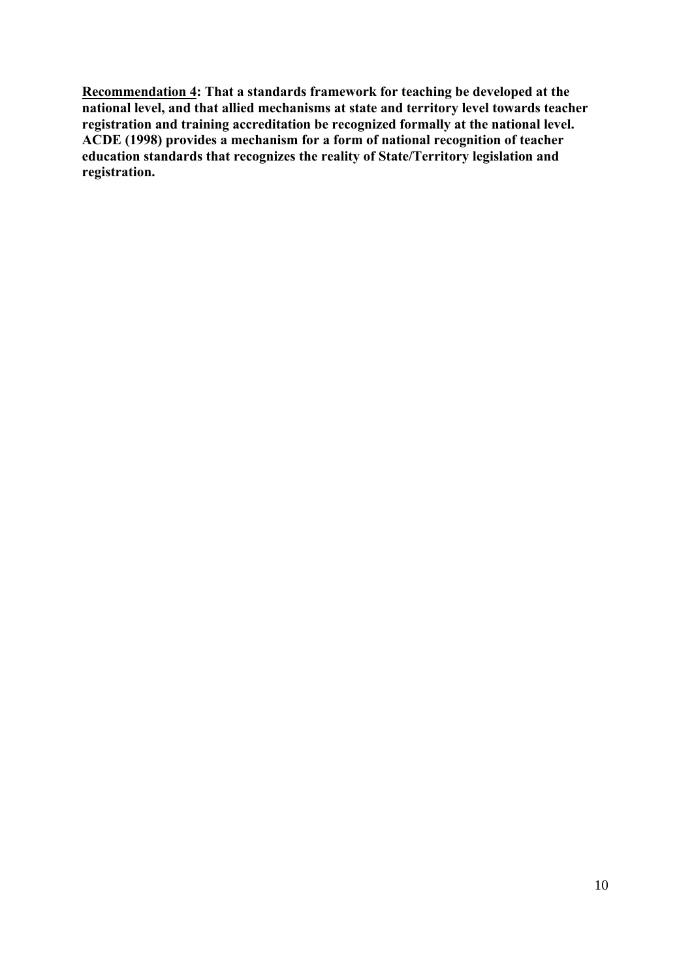**Recommendation 4: That a standards framework for teaching be developed at the national level, and that allied mechanisms at state and territory level towards teacher registration and training accreditation be recognized formally at the national level. ACDE (1998) provides a mechanism for a form of national recognition of teacher education standards that recognizes the reality of State/Territory legislation and registration.**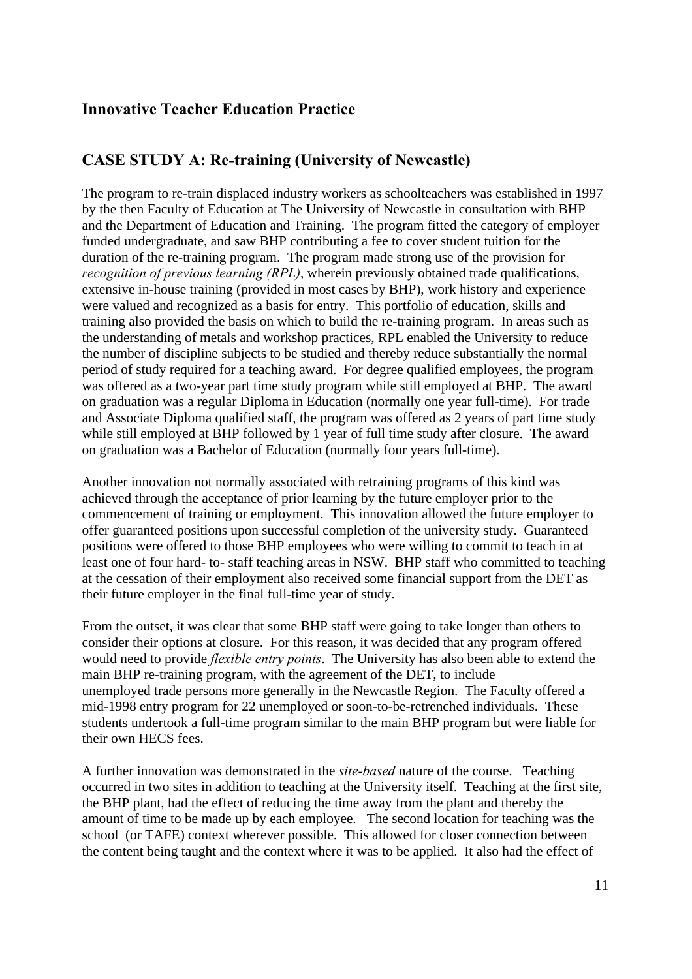## **Innovative Teacher Education Practice**

## **CASE STUDY A: Re-training (University of Newcastle)**

The program to re-train displaced industry workers as schoolteachers was established in 1997 by the then Faculty of Education at The University of Newcastle in consultation with BHP and the Department of Education and Training. The program fitted the category of employer funded undergraduate, and saw BHP contributing a fee to cover student tuition for the duration of the re-training program. The program made strong use of the provision for *recognition of previous learning (RPL)*, wherein previously obtained trade qualifications, extensive in-house training (provided in most cases by BHP), work history and experience were valued and recognized as a basis for entry. This portfolio of education, skills and training also provided the basis on which to build the re-training program. In areas such as the understanding of metals and workshop practices, RPL enabled the University to reduce the number of discipline subjects to be studied and thereby reduce substantially the normal period of study required for a teaching award. For degree qualified employees, the program was offered as a two-year part time study program while still employed at BHP. The award on graduation was a regular Diploma in Education (normally one year full-time). For trade and Associate Diploma qualified staff, the program was offered as 2 years of part time study while still employed at BHP followed by 1 year of full time study after closure. The award on graduation was a Bachelor of Education (normally four years full-time).

Another innovation not normally associated with retraining programs of this kind was achieved through the acceptance of prior learning by the future employer prior to the commencement of training or employment. This innovation allowed the future employer to offer guaranteed positions upon successful completion of the university study. Guaranteed positions were offered to those BHP employees who were willing to commit to teach in at least one of four hard- to- staff teaching areas in NSW. BHP staff who committed to teaching at the cessation of their employment also received some financial support from the DET as their future employer in the final full-time year of study.

From the outset, it was clear that some BHP staff were going to take longer than others to consider their options at closure. For this reason, it was decided that any program offered would need to provide *flexible entry points*. The University has also been able to extend the main BHP re-training program, with the agreement of the DET, to include unemployed trade persons more generally in the Newcastle Region. The Faculty offered a mid-1998 entry program for 22 unemployed or soon-to-be-retrenched individuals. These students undertook a full-time program similar to the main BHP program but were liable for their own HECS fees.

A further innovation was demonstrated in the *site-based* nature of the course. Teaching occurred in two sites in addition to teaching at the University itself. Teaching at the first site, the BHP plant, had the effect of reducing the time away from the plant and thereby the amount of time to be made up by each employee. The second location for teaching was the school (or TAFE) context wherever possible. This allowed for closer connection between the content being taught and the context where it was to be applied. It also had the effect of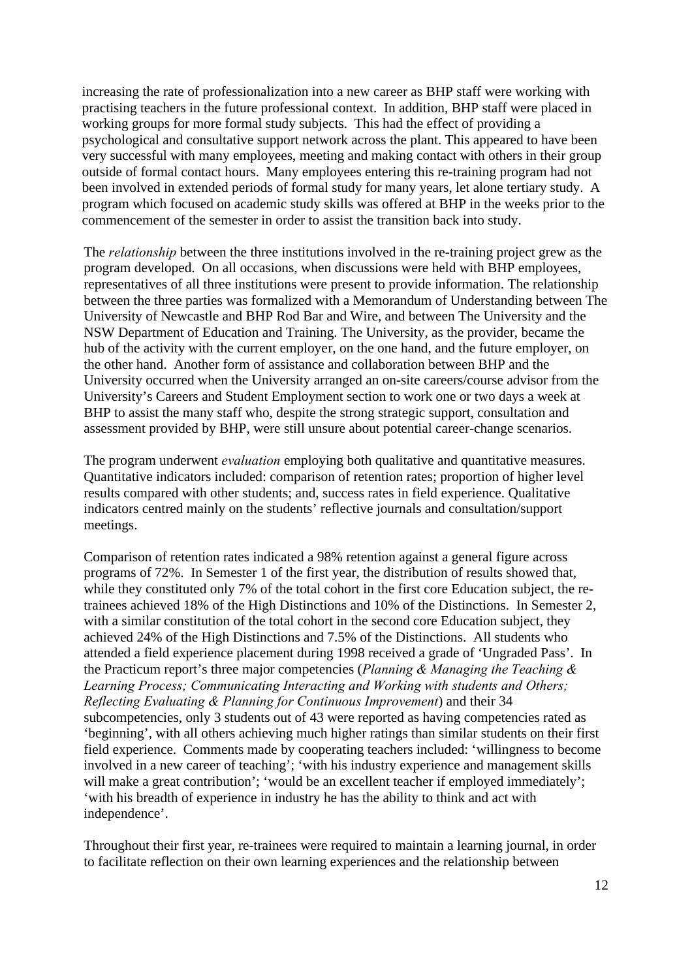increasing the rate of professionalization into a new career as BHP staff were working with practising teachers in the future professional context. In addition, BHP staff were placed in working groups for more formal study subjects. This had the effect of providing a psychological and consultative support network across the plant. This appeared to have been very successful with many employees, meeting and making contact with others in their group outside of formal contact hours. Many employees entering this re-training program had not been involved in extended periods of formal study for many years, let alone tertiary study. A program which focused on academic study skills was offered at BHP in the weeks prior to the commencement of the semester in order to assist the transition back into study.

The *relationship* between the three institutions involved in the re-training project grew as the program developed. On all occasions, when discussions were held with BHP employees, representatives of all three institutions were present to provide information. The relationship between the three parties was formalized with a Memorandum of Understanding between The University of Newcastle and BHP Rod Bar and Wire, and between The University and the NSW Department of Education and Training. The University, as the provider, became the hub of the activity with the current employer, on the one hand, and the future employer, on the other hand. Another form of assistance and collaboration between BHP and the University occurred when the University arranged an on-site careers/course advisor from the University's Careers and Student Employment section to work one or two days a week at BHP to assist the many staff who, despite the strong strategic support, consultation and assessment provided by BHP, were still unsure about potential career-change scenarios.

The program underwent *evaluation* employing both qualitative and quantitative measures. Quantitative indicators included: comparison of retention rates; proportion of higher level results compared with other students; and, success rates in field experience. Qualitative indicators centred mainly on the students' reflective journals and consultation/support meetings.

Comparison of retention rates indicated a 98% retention against a general figure across programs of 72%. In Semester 1 of the first year, the distribution of results showed that, while they constituted only 7% of the total cohort in the first core Education subject, the retrainees achieved 18% of the High Distinctions and 10% of the Distinctions. In Semester 2, with a similar constitution of the total cohort in the second core Education subject, they achieved 24% of the High Distinctions and 7.5% of the Distinctions. All students who attended a field experience placement during 1998 received a grade of 'Ungraded Pass'. In the Practicum report's three major competencies (*Planning & Managing the Teaching & Learning Process; Communicating Interacting and Working with students and Others; Reflecting Evaluating & Planning for Continuous Improvement*) and their 34 subcompetencies, only 3 students out of 43 were reported as having competencies rated as 'beginning', with all others achieving much higher ratings than similar students on their first field experience. Comments made by cooperating teachers included: 'willingness to become involved in a new career of teaching'; 'with his industry experience and management skills will make a great contribution'; 'would be an excellent teacher if employed immediately'; 'with his breadth of experience in industry he has the ability to think and act with independence'.

Throughout their first year, re-trainees were required to maintain a learning journal, in order to facilitate reflection on their own learning experiences and the relationship between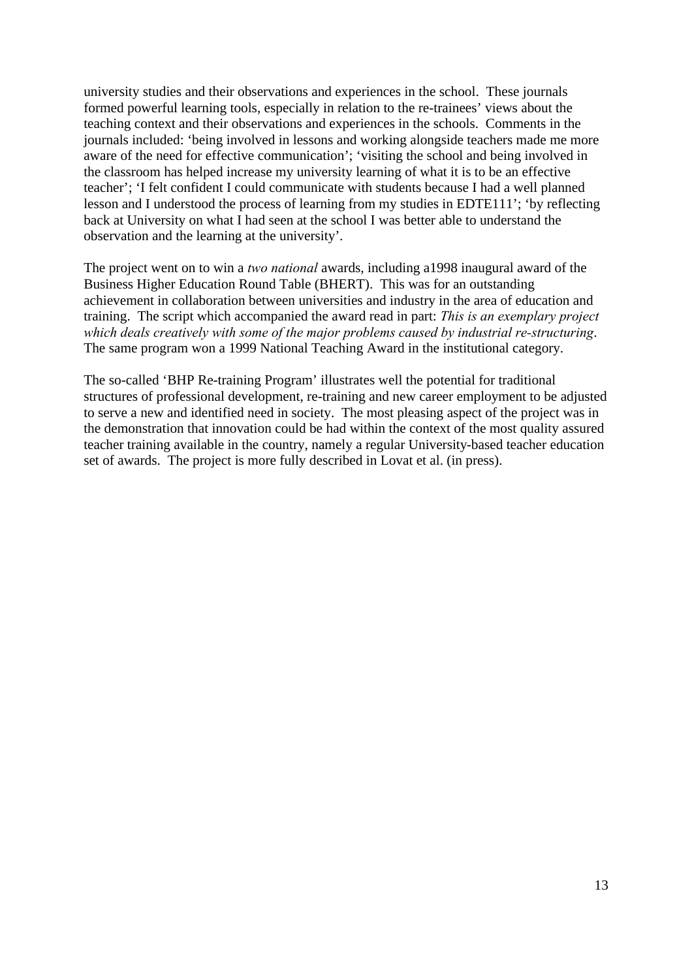university studies and their observations and experiences in the school. These journals formed powerful learning tools, especially in relation to the re-trainees' views about the teaching context and their observations and experiences in the schools. Comments in the journals included: 'being involved in lessons and working alongside teachers made me more aware of the need for effective communication'; 'visiting the school and being involved in the classroom has helped increase my university learning of what it is to be an effective teacher'; 'I felt confident I could communicate with students because I had a well planned lesson and I understood the process of learning from my studies in EDTE111'; 'by reflecting back at University on what I had seen at the school I was better able to understand the observation and the learning at the university'.

The project went on to win a *two national* awards, including a1998 inaugural award of the Business Higher Education Round Table (BHERT). This was for an outstanding achievement in collaboration between universities and industry in the area of education and training. The script which accompanied the award read in part: *This is an exemplary project which deals creatively with some of the major problems caused by industrial re-structuring*. The same program won a 1999 National Teaching Award in the institutional category.

The so-called 'BHP Re-training Program' illustrates well the potential for traditional structures of professional development, re-training and new career employment to be adjusted to serve a new and identified need in society. The most pleasing aspect of the project was in the demonstration that innovation could be had within the context of the most quality assured teacher training available in the country, namely a regular University-based teacher education set of awards. The project is more fully described in Lovat et al. (in press).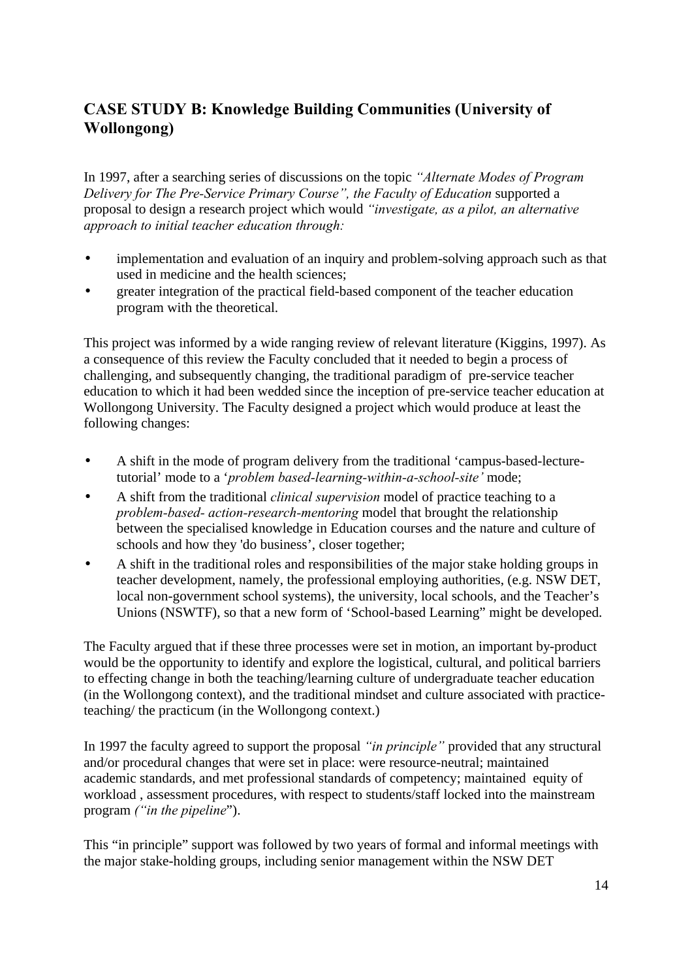## **CASE STUDY B: Knowledge Building Communities (University of Wollongong)**

In 1997, after a searching series of discussions on the topic *"Alternate Modes of Program Delivery for The Pre-Service Primary Course", the Faculty of Education* supported a proposal to design a research project which would *"investigate, as a pilot, an alternative approach to initial teacher education through:*

- implementation and evaluation of an inquiry and problem-solving approach such as that used in medicine and the health sciences;
- greater integration of the practical field-based component of the teacher education program with the theoretical.

This project was informed by a wide ranging review of relevant literature (Kiggins, 1997). As a consequence of this review the Faculty concluded that it needed to begin a process of challenging, and subsequently changing, the traditional paradigm of pre-service teacher education to which it had been wedded since the inception of pre-service teacher education at Wollongong University. The Faculty designed a project which would produce at least the following changes:

- A shift in the mode of program delivery from the traditional 'campus-based-lecturetutorial' mode to a '*problem based-learning-within-a-school-site'* mode;
- A shift from the traditional *clinical supervision* model of practice teaching to a *problem-based- action-research-mentoring* model that brought the relationship between the specialised knowledge in Education courses and the nature and culture of schools and how they 'do business', closer together;
- A shift in the traditional roles and responsibilities of the major stake holding groups in teacher development, namely, the professional employing authorities, (e.g. NSW DET, local non-government school systems), the university, local schools, and the Teacher's Unions (NSWTF), so that a new form of 'School-based Learning" might be developed.

The Faculty argued that if these three processes were set in motion, an important by-product would be the opportunity to identify and explore the logistical, cultural, and political barriers to effecting change in both the teaching/learning culture of undergraduate teacher education (in the Wollongong context), and the traditional mindset and culture associated with practiceteaching/ the practicum (in the Wollongong context.)

In 1997 the faculty agreed to support the proposal *"in principle"* provided that any structural and/or procedural changes that were set in place: were resource-neutral; maintained academic standards, and met professional standards of competency; maintained equity of workload , assessment procedures, with respect to students/staff locked into the mainstream program *("in the pipeline*").

This "in principle" support was followed by two years of formal and informal meetings with the major stake-holding groups, including senior management within the NSW DET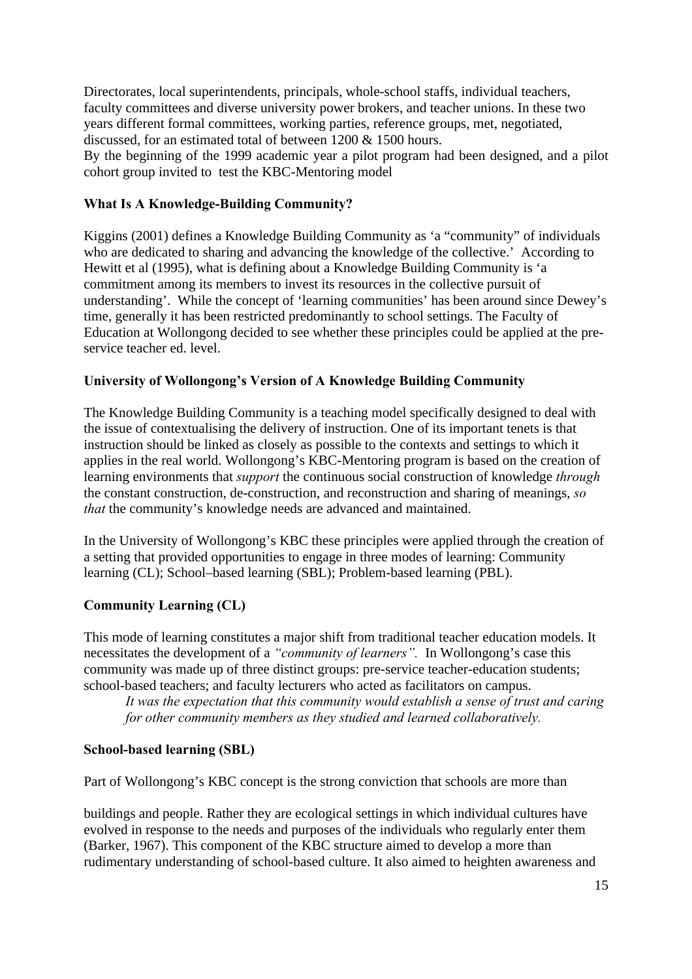Directorates, local superintendents, principals, whole-school staffs, individual teachers, faculty committees and diverse university power brokers, and teacher unions. In these two years different formal committees, working parties, reference groups, met, negotiated, discussed, for an estimated total of between 1200 & 1500 hours.

By the beginning of the 1999 academic year a pilot program had been designed, and a pilot cohort group invited to test the KBC-Mentoring model

### **What Is A Knowledge-Building Community?**

Kiggins (2001) defines a Knowledge Building Community as 'a "community" of individuals who are dedicated to sharing and advancing the knowledge of the collective.' According to Hewitt et al (1995), what is defining about a Knowledge Building Community is 'a commitment among its members to invest its resources in the collective pursuit of understanding'. While the concept of 'learning communities' has been around since Dewey's time, generally it has been restricted predominantly to school settings. The Faculty of Education at Wollongong decided to see whether these principles could be applied at the preservice teacher ed. level.

### **University of Wollongong's Version of A Knowledge Building Community**

The Knowledge Building Community is a teaching model specifically designed to deal with the issue of contextualising the delivery of instruction. One of its important tenets is that instruction should be linked as closely as possible to the contexts and settings to which it applies in the real world. Wollongong's KBC-Mentoring program is based on the creation of learning environments that *support* the continuous social construction of knowledge *through* the constant construction, de-construction, and reconstruction and sharing of meanings, *so that* the community's knowledge needs are advanced and maintained.

In the University of Wollongong's KBC these principles were applied through the creation of a setting that provided opportunities to engage in three modes of learning: Community learning (CL); School–based learning (SBL); Problem-based learning (PBL).

### **Community Learning (CL)**

This mode of learning constitutes a major shift from traditional teacher education models. It necessitates the development of a *"community of learners".* In Wollongong's case this community was made up of three distinct groups: pre-service teacher-education students; school-based teachers; and faculty lecturers who acted as facilitators on campus.

*It was the expectation that this community would establish a sense of trust and caring for other community members as they studied and learned collaboratively.* 

#### **School-based learning (SBL)**

Part of Wollongong's KBC concept is the strong conviction that schools are more than

buildings and people. Rather they are ecological settings in which individual cultures have evolved in response to the needs and purposes of the individuals who regularly enter them (Barker, 1967). This component of the KBC structure aimed to develop a more than rudimentary understanding of school-based culture. It also aimed to heighten awareness and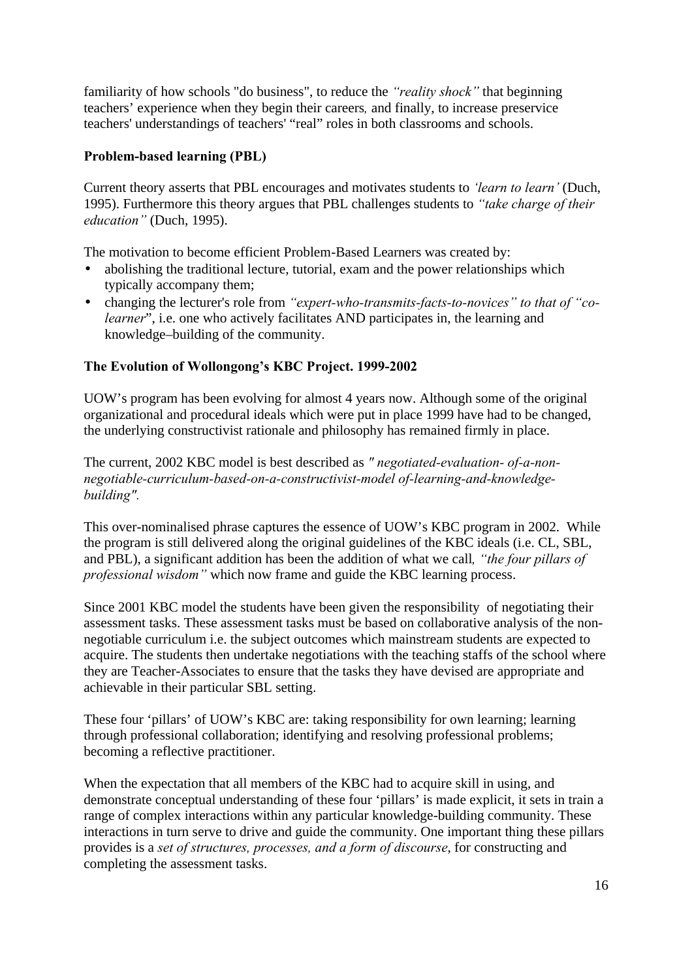familiarity of how schools "do business", to reduce the *"reality shock"* that beginning teachers' experience when they begin their careers*,* and finally, to increase preservice teachers' understandings of teachers' "real" roles in both classrooms and schools.

### **Problem-based learning (PBL)**

Current theory asserts that PBL encourages and motivates students to *'learn to learn'* (Duch, 1995). Furthermore this theory argues that PBL challenges students to *"take charge of their education"* (Duch, 1995).

The motivation to become efficient Problem-Based Learners was created by:

- abolishing the traditional lecture, tutorial, exam and the power relationships which typically accompany them;
- changing the lecturer's role from *"expert-who-transmits-facts-to-novices" to that of "colearner*", i.e. one who actively facilitates AND participates in, the learning and knowledge–building of the community.

### **The Evolution of Wollongong's KBC Project. 1999-2002**

UOW's program has been evolving for almost 4 years now. Although some of the original organizational and procedural ideals which were put in place 1999 have had to be changed, the underlying constructivist rationale and philosophy has remained firmly in place.

The current, 2002 KBC model is best described as *" negotiated-evaluation- of-a-nonnegotiable-curriculum-based-on-a-constructivist-model of-learning-and-knowledgebuilding".*

This over-nominalised phrase captures the essence of UOW's KBC program in 2002. While the program is still delivered along the original guidelines of the KBC ideals (i.e. CL, SBL, and PBL), a significant addition has been the addition of what we call*, "the four pillars of professional wisdom"* which now frame and guide the KBC learning process.

Since 2001 KBC model the students have been given the responsibility of negotiating their assessment tasks. These assessment tasks must be based on collaborative analysis of the nonnegotiable curriculum i.e. the subject outcomes which mainstream students are expected to acquire. The students then undertake negotiations with the teaching staffs of the school where they are Teacher-Associates to ensure that the tasks they have devised are appropriate and achievable in their particular SBL setting.

These four 'pillars' of UOW's KBC are: taking responsibility for own learning; learning through professional collaboration; identifying and resolving professional problems; becoming a reflective practitioner.

When the expectation that all members of the KBC had to acquire skill in using, and demonstrate conceptual understanding of these four 'pillars' is made explicit, it sets in train a range of complex interactions within any particular knowledge-building community. These interactions in turn serve to drive and guide the community. One important thing these pillars provides is a *set of structures, processes, and a form of discourse*, for constructing and completing the assessment tasks.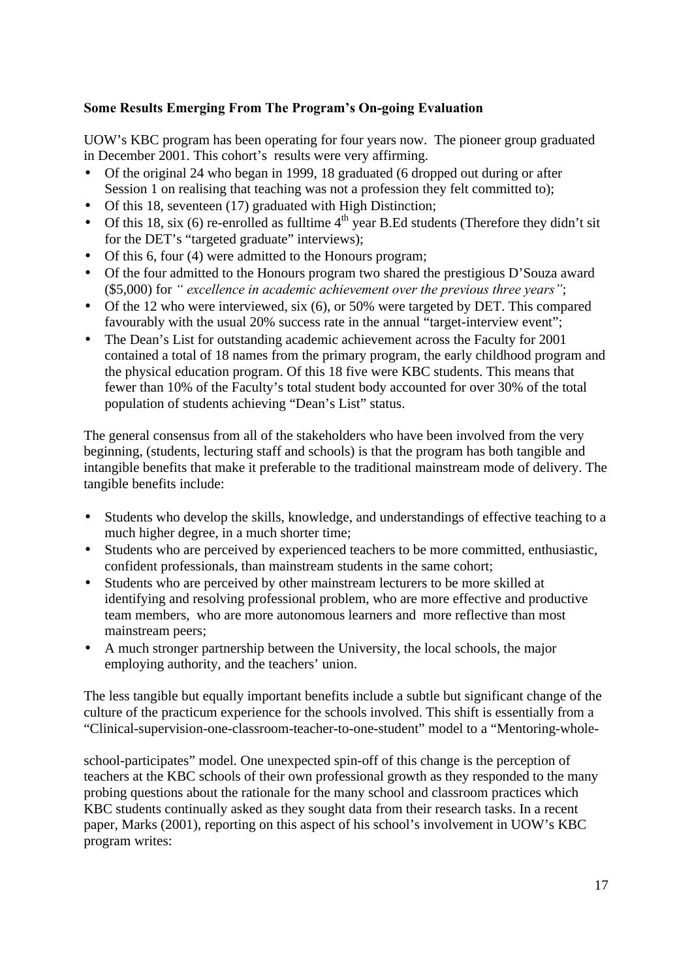### **Some Results Emerging From The Program's On-going Evaluation**

UOW's KBC program has been operating for four years now. The pioneer group graduated in December 2001. This cohort's results were very affirming.

- Of the original 24 who began in 1999, 18 graduated (6 dropped out during or after Session 1 on realising that teaching was not a profession they felt committed to);
- Of this 18, seventeen (17) graduated with High Distinction;
- Of this 18, six (6) re-enrolled as fulltime  $4<sup>th</sup>$  year B.Ed students (Therefore they didn't sit for the DET's "targeted graduate" interviews);
- Of this 6, four (4) were admitted to the Honours program;
- Of the four admitted to the Honours program two shared the prestigious D'Souza award (\$5,000) for *" excellence in academic achievement over the previous three years"*;
- Of the 12 who were interviewed, six (6), or 50% were targeted by DET. This compared favourably with the usual 20% success rate in the annual "target-interview event";
- The Dean's List for outstanding academic achievement across the Faculty for 2001 contained a total of 18 names from the primary program, the early childhood program and the physical education program. Of this 18 five were KBC students. This means that fewer than 10% of the Faculty's total student body accounted for over 30% of the total population of students achieving "Dean's List" status.

The general consensus from all of the stakeholders who have been involved from the very beginning, (students, lecturing staff and schools) is that the program has both tangible and intangible benefits that make it preferable to the traditional mainstream mode of delivery. The tangible benefits include:

- Students who develop the skills, knowledge, and understandings of effective teaching to a much higher degree, in a much shorter time;
- Students who are perceived by experienced teachers to be more committed, enthusiastic, confident professionals, than mainstream students in the same cohort;
- Students who are perceived by other mainstream lecturers to be more skilled at identifying and resolving professional problem, who are more effective and productive team members, who are more autonomous learners and more reflective than most mainstream peers;
- A much stronger partnership between the University, the local schools, the major employing authority, and the teachers' union.

The less tangible but equally important benefits include a subtle but significant change of the culture of the practicum experience for the schools involved. This shift is essentially from a "Clinical-supervision-one-classroom-teacher-to-one-student" model to a "Mentoring-whole-

school-participates" model. One unexpected spin-off of this change is the perception of teachers at the KBC schools of their own professional growth as they responded to the many probing questions about the rationale for the many school and classroom practices which KBC students continually asked as they sought data from their research tasks. In a recent paper, Marks (2001), reporting on this aspect of his school's involvement in UOW's KBC program writes: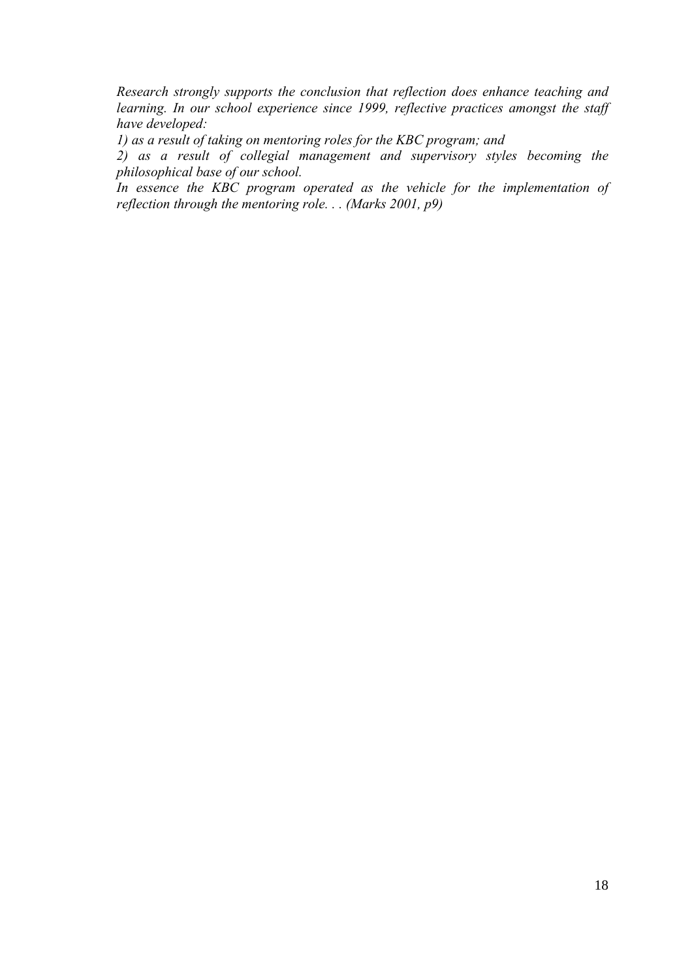*Research strongly supports the conclusion that reflection does enhance teaching and learning. In our school experience since 1999, reflective practices amongst the staff have developed:*

*1) as a result of taking on mentoring roles for the KBC program; and*

*2) as a result of collegial management and supervisory styles becoming the philosophical base of our school.*

*In essence the KBC program operated as the vehicle for the implementation of reflection through the mentoring role. . . (Marks 2001, p9)*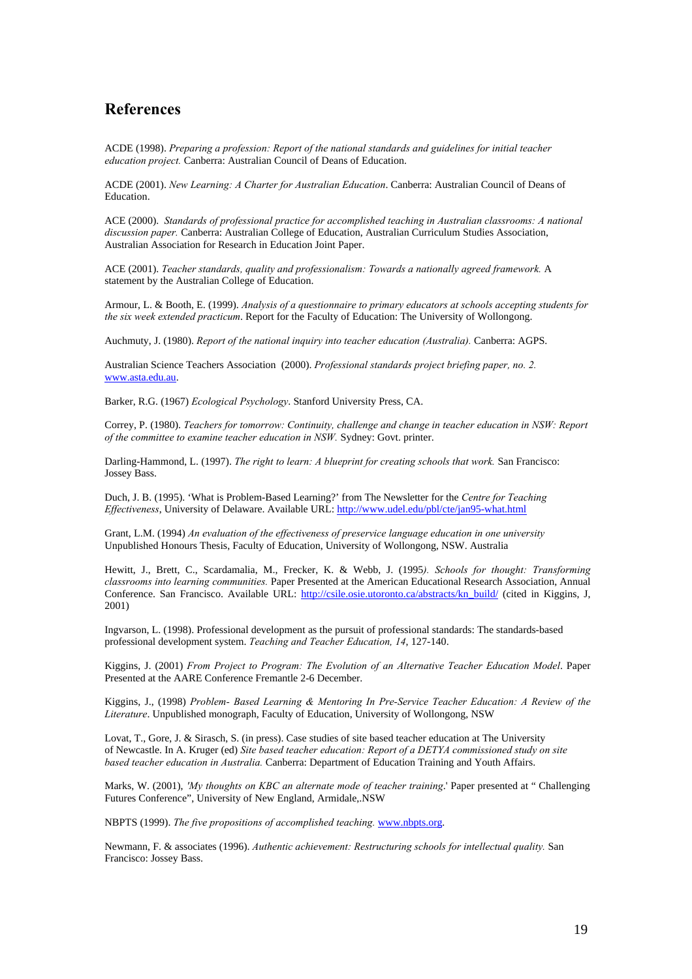### **References**

ACDE (1998). *Preparing a profession: Report of the national standards and guidelines for initial teacher education project.* Canberra: Australian Council of Deans of Education.

ACDE (2001). *New Learning: A Charter for Australian Education*. Canberra: Australian Council of Deans of Education.

ACE (2000). *Standards of professional practice for accomplished teaching in Australian classrooms: A national discussion paper.* Canberra: Australian College of Education, Australian Curriculum Studies Association, Australian Association for Research in Education Joint Paper.

ACE (2001). *Teacher standards, quality and professionalism: Towards a nationally agreed framework.* A statement by the Australian College of Education.

Armour, L. & Booth, E. (1999). *Analysis of a questionnaire to primary educators at schools accepting students for the six week extended practicum*. Report for the Faculty of Education: The University of Wollongong.

Auchmuty, J. (1980). *Report of the national inquiry into teacher education (Australia).* Canberra: AGPS.

Australian Science Teachers Association (2000). *Professional standards project briefing paper, no. 2.*  www.asta.edu.au.

Barker, R.G. (1967) *Ecological Psychology*. Stanford University Press, CA.

Correy, P. (1980). *Teachers for tomorrow: Continuity, challenge and change in teacher education in NSW: Report of the committee to examine teacher education in NSW.* Sydney: Govt. printer.

Darling-Hammond, L. (1997). *The right to learn: A blueprint for creating schools that work.* San Francisco: Jossey Bass.

Duch, J. B. (1995). 'What is Problem-Based Learning?' from The Newsletter for the *Centre for Teaching Effectiveness*, University of Delaware. Available URL: http://www.udel.edu/pbl/cte/jan95-what.html

Grant, L.M. (1994) *An evaluation of the effectiveness of preservice language education in one university* Unpublished Honours Thesis, Faculty of Education, University of Wollongong, NSW. Australia

Hewitt, J., Brett, C., Scardamalia, M., Frecker, K. & Webb, J. (1995*). Schools for thought: Transforming classrooms into learning communities.* Paper Presented at the American Educational Research Association, Annual Conference. San Francisco. Available URL: http://csile.osie.utoronto.ca/abstracts/kn\_build/ (cited in Kiggins, J, 2001)

Ingvarson, L. (1998). Professional development as the pursuit of professional standards: The standards-based professional development system. *Teaching and Teacher Education, 14*, 127-140.

Kiggins, J. (2001) *From Project to Program: The Evolution of an Alternative Teacher Education Model*. Paper Presented at the AARE Conference Fremantle 2-6 December.

Kiggins, J., (1998) *Problem- Based Learning & Mentoring In Pre-Service Teacher Education: A Review of the Literature*. Unpublished monograph, Faculty of Education, University of Wollongong, NSW

Lovat, T., Gore, J. & Sirasch, S. (in press). Case studies of site based teacher education at The University of Newcastle. In A. Kruger (ed) *Site based teacher education: Report of a DETYA commissioned study on site based teacher education in Australia.* Canberra: Department of Education Training and Youth Affairs.

Marks, W. (2001), *'My thoughts on KBC an alternate mode of teacher training*.' Paper presented at " Challenging Futures Conference", University of New England, Armidale,.NSW

NBPTS (1999). *The five propositions of accomplished teaching.* www.nbpts.org.

Newmann, F. & associates (1996). *Authentic achievement: Restructuring schools for intellectual quality.* San Francisco: Jossey Bass.